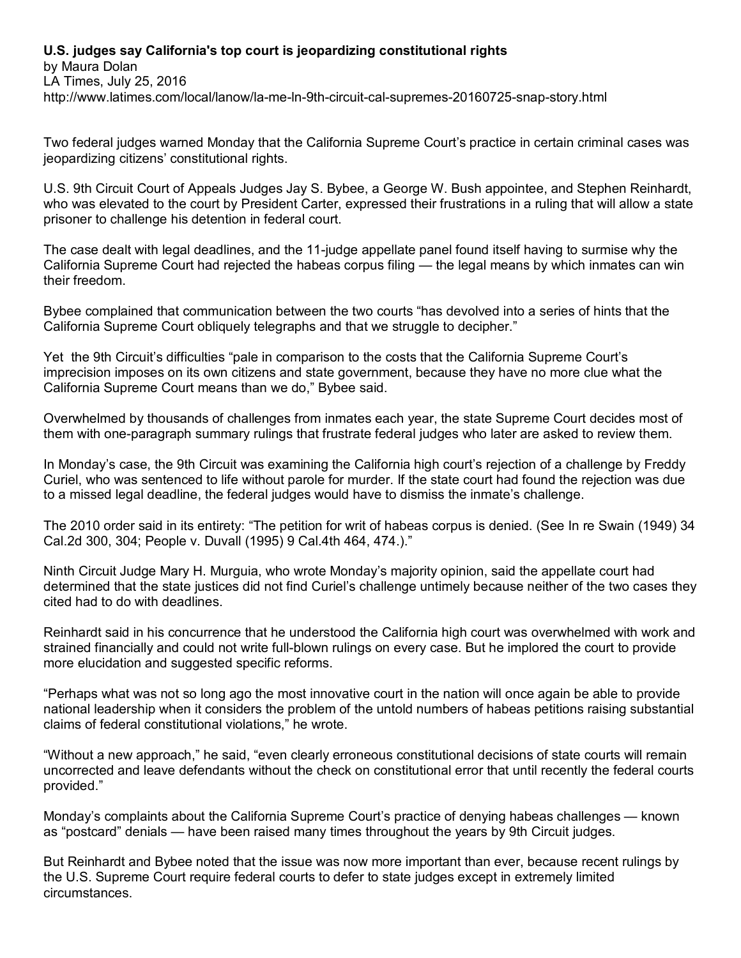## **U.S. judges say California's top court is jeopardizing constitutional rights**

by Maura Dolan LA Times, July 25, 2016 <http://www.latimes.com/local/lanow/la-me-ln-9th-circuit-cal-supremes-20160725-snap-story.html>

Two federal judges warned Monday that the California Supreme Court's practice in certain criminal cases was jeopardizing citizens' constitutional rights.

U.S. 9th Circuit Court of Appeals Judges Jay S. Bybee, a George W. Bush appointee, and Stephen Reinhardt, who was elevated to the court by President Carter, expressed their frustrations in a ruling that will allow a state prisoner to challenge his detention in federal court.

The case dealt with legal deadlines, and the 11-judge appellate panel found itself having to surmise why the California Supreme Court had rejected the habeas corpus filing — the legal means by which inmates can win their freedom.

Bybee complained that communication between the two courts "has devolved into a series of hints that the California Supreme Court obliquely telegraphs and that we struggle to decipher."

Yet the 9th Circuit's difficulties "pale in comparison to the costs that the California Supreme Court's imprecision imposes on its own citizens and state government, because they have no more clue what the California Supreme Court means than we do," Bybee said.

Overwhelmed by thousands of challenges from inmates each year, the state Supreme Court decides most of them with one-paragraph summary rulings that frustrate federal judges who later are asked to review them.

In Monday's case, the 9th Circuit was examining the California high court's rejection of a challenge by Freddy Curiel, who was sentenced to life without parole for murder. If the state court had found the rejection was due to a missed legal deadline, the federal judges would have to dismiss the inmate's challenge.

The 2010 order said in its entirety: "The petition for writ of habeas corpus is denied. (See In re Swain (1949) 34 Cal.2d 300, 304; People v. Duvall (1995) 9 Cal.4th 464, 474.)."

Ninth Circuit Judge Mary H. Murguia, who wrote Monday's majority opinion, said the appellate court had determined that the state justices did not find Curiel's challenge untimely because neither of the two cases they cited had to do with deadlines.

Reinhardt said in his concurrence that he understood the California high court was overwhelmed with work and strained financially and could not write full-blown rulings on every case. But he implored the court to provide more elucidation and suggested specific reforms.

"Perhaps what was not so long ago the most innovative court in the nation will once again be able to provide national leadership when it considers the problem of the untold numbers of habeas petitions raising substantial claims of federal constitutional violations," he wrote.

"Without a new approach," he said, "even clearly erroneous constitutional decisions of state courts will remain uncorrected and leave defendants without the check on constitutional error that until recently the federal courts provided."

Monday's complaints about the California Supreme Court's practice of denying habeas challenges — known as "postcard" denials — have been raised many times throughout the years by 9th Circuit judges.

But Reinhardt and Bybee noted that the issue was now more important than ever, because recent rulings by the U.S. Supreme Court require federal courts to defer to state judges except in extremely limited circumstances.